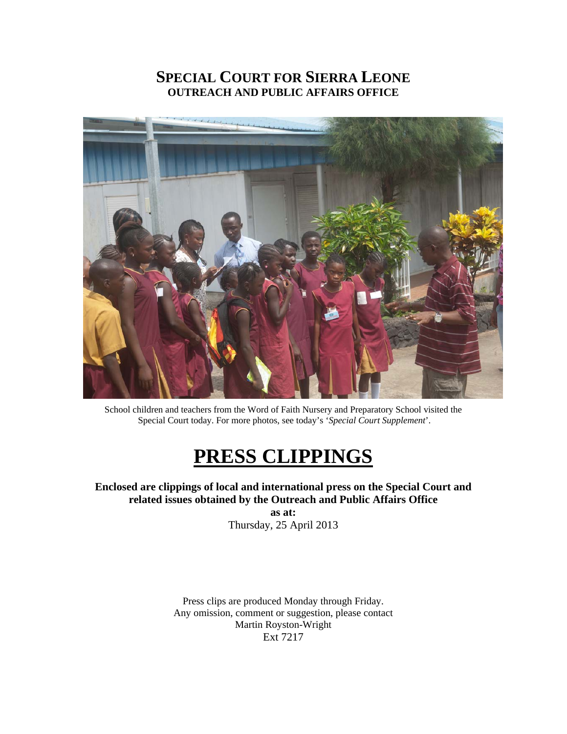# **SPECIAL COURT FOR SIERRA LEONE OUTREACH AND PUBLIC AFFAIRS OFFICE**



School children and teachers from the Word of Faith Nursery and Preparatory School visited the Special Court today. For more photos, see today's '*Special Court Supplement*'.

# **PRESS CLIPPINGS**

**Enclosed are clippings of local and international press on the Special Court and related issues obtained by the Outreach and Public Affairs Office** 

**as at:**  Thursday, 25 April 2013

Press clips are produced Monday through Friday. Any omission, comment or suggestion, please contact Martin Royston-Wright Ext 7217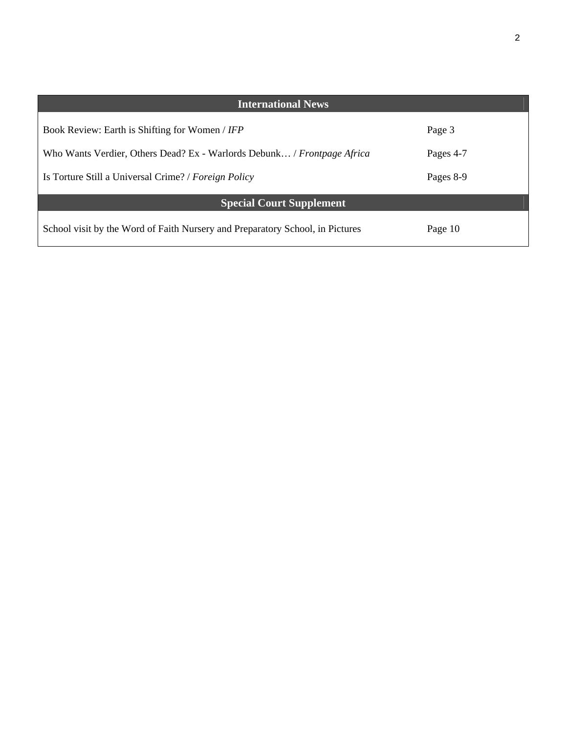| <b>International News</b>                                                     |           |
|-------------------------------------------------------------------------------|-----------|
| Book Review: Earth is Shifting for Women / IFP                                | Page 3    |
| Who Wants Verdier, Others Dead? Ex - Warlords Debunk / Frontpage Africa       | Pages 4-7 |
| Is Torture Still a Universal Crime? / Foreign Policy                          | Pages 8-9 |
| <b>Special Court Supplement</b>                                               |           |
| School visit by the Word of Faith Nursery and Preparatory School, in Pictures | Page 10   |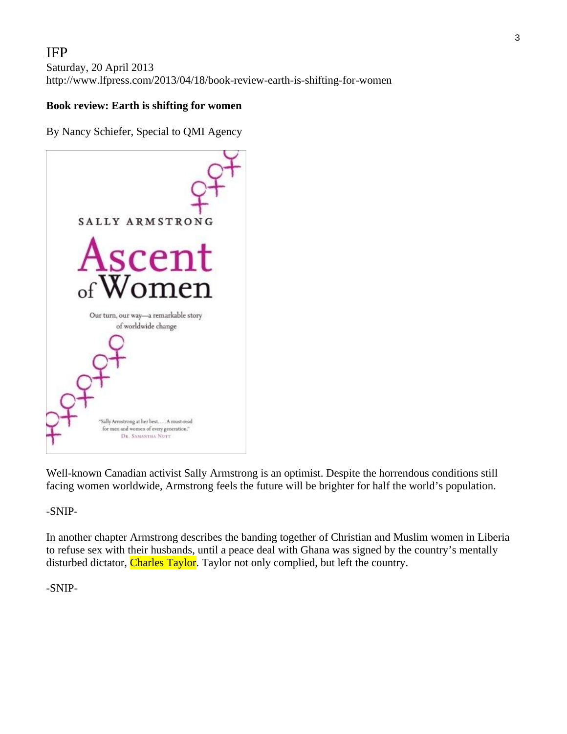# IFP

Saturday, 20 April 2013 http://www.lfpress.com/2013/04/18/book-review-earth-is-shifting-for-women

#### **Book review: Earth is shifting for women**

By Nancy Schiefer, Special to QMI Agency

SALLY ARMSTRONG Ascent Women Our turn, our way-a remarkable story of worldwide change 'Sally Armstrong at her best.... A must-read for men and women of every generation." DR. SAMANTHA NUTT

Well-known Canadian activist Sally Armstrong is an optimist. Despite the horrendous conditions still facing women worldwide, Armstrong feels the future will be brighter for half the world's population.

-SNIP-

In another chapter Armstrong describes the banding together of Christian and Muslim women in Liberia to refuse sex with their husbands, until a peace deal with Ghana was signed by the country's mentally disturbed dictator, Charles Taylor. Taylor not only complied, but left the country.

#### -SNIP-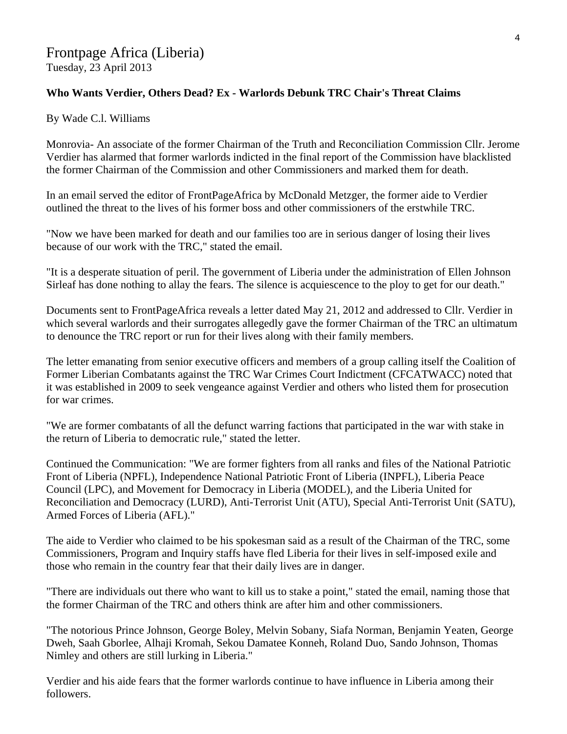# Frontpage Africa (Liberia)

Tuesday, 23 April 2013

## **Who Wants Verdier, Others Dead? Ex - Warlords Debunk TRC Chair's Threat Claims**

By Wade C.l. Williams

Monrovia- An associate of the former Chairman of the Truth and Reconciliation Commission Cllr. Jerome Verdier has alarmed that former warlords indicted in the final report of the Commission have blacklisted the former Chairman of the Commission and other Commissioners and marked them for death.

In an email served the editor of FrontPageAfrica by McDonald Metzger, the former aide to Verdier outlined the threat to the lives of his former boss and other commissioners of the erstwhile TRC.

"Now we have been marked for death and our families too are in serious danger of losing their lives because of our work with the TRC," stated the email.

"It is a desperate situation of peril. The government of Liberia under the administration of Ellen Johnson Sirleaf has done nothing to allay the fears. The silence is acquiescence to the ploy to get for our death."

Documents sent to FrontPageAfrica reveals a letter dated May 21, 2012 and addressed to Cllr. Verdier in which several warlords and their surrogates allegedly gave the former Chairman of the TRC an ultimatum to denounce the TRC report or run for their lives along with their family members.

The letter emanating from senior executive officers and members of a group calling itself the Coalition of Former Liberian Combatants against the TRC War Crimes Court Indictment (CFCATWACC) noted that it was established in 2009 to seek vengeance against Verdier and others who listed them for prosecution for war crimes.

"We are former combatants of all the defunct warring factions that participated in the war with stake in the return of Liberia to democratic rule," stated the letter.

Continued the Communication: "We are former fighters from all ranks and files of the National Patriotic Front of Liberia (NPFL), Independence National Patriotic Front of Liberia (INPFL), Liberia Peace Council (LPC), and Movement for Democracy in Liberia (MODEL), and the Liberia United for Reconciliation and Democracy (LURD), Anti-Terrorist Unit (ATU), Special Anti-Terrorist Unit (SATU), Armed Forces of Liberia (AFL)."

The aide to Verdier who claimed to be his spokesman said as a result of the Chairman of the TRC, some Commissioners, Program and Inquiry staffs have fled Liberia for their lives in self-imposed exile and those who remain in the country fear that their daily lives are in danger.

"There are individuals out there who want to kill us to stake a point," stated the email, naming those that the former Chairman of the TRC and others think are after him and other commissioners.

"The notorious Prince Johnson, George Boley, Melvin Sobany, Siafa Norman, Benjamin Yeaten, George Dweh, Saah Gborlee, Alhaji Kromah, Sekou Damatee Konneh, Roland Duo, Sando Johnson, Thomas Nimley and others are still lurking in Liberia."

Verdier and his aide fears that the former warlords continue to have influence in Liberia among their followers.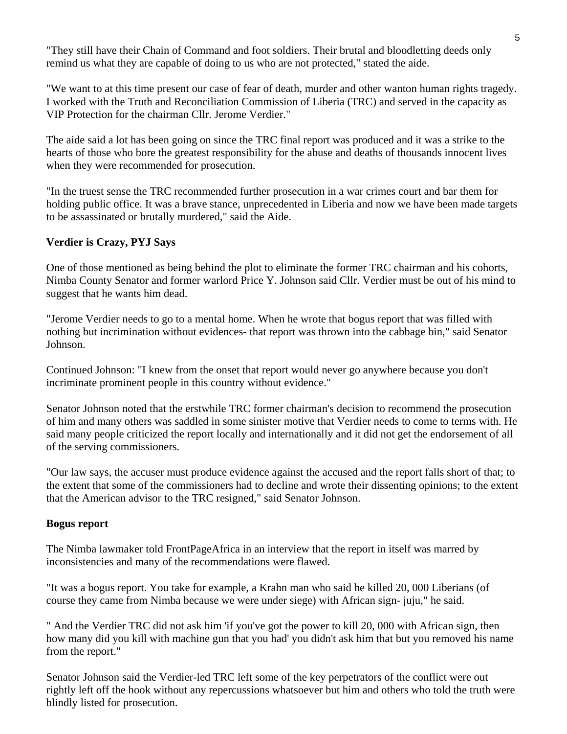"They still have their Chain of Command and foot soldiers. Their brutal and bloodletting deeds only remind us what they are capable of doing to us who are not protected," stated the aide.

"We want to at this time present our case of fear of death, murder and other wanton human rights tragedy. I worked with the Truth and Reconciliation Commission of Liberia (TRC) and served in the capacity as VIP Protection for the chairman Cllr. Jerome Verdier."

The aide said a lot has been going on since the TRC final report was produced and it was a strike to the hearts of those who bore the greatest responsibility for the abuse and deaths of thousands innocent lives when they were recommended for prosecution.

"In the truest sense the TRC recommended further prosecution in a war crimes court and bar them for holding public office. It was a brave stance, unprecedented in Liberia and now we have been made targets to be assassinated or brutally murdered," said the Aide.

## **Verdier is Crazy, PYJ Says**

One of those mentioned as being behind the plot to eliminate the former TRC chairman and his cohorts, Nimba County Senator and former warlord Price Y. Johnson said Cllr. Verdier must be out of his mind to suggest that he wants him dead.

"Jerome Verdier needs to go to a mental home. When he wrote that bogus report that was filled with nothing but incrimination without evidences- that report was thrown into the cabbage bin," said Senator Johnson.

Continued Johnson: "I knew from the onset that report would never go anywhere because you don't incriminate prominent people in this country without evidence."

Senator Johnson noted that the erstwhile TRC former chairman's decision to recommend the prosecution of him and many others was saddled in some sinister motive that Verdier needs to come to terms with. He said many people criticized the report locally and internationally and it did not get the endorsement of all of the serving commissioners.

"Our law says, the accuser must produce evidence against the accused and the report falls short of that; to the extent that some of the commissioners had to decline and wrote their dissenting opinions; to the extent that the American advisor to the TRC resigned," said Senator Johnson.

## **Bogus report**

The Nimba lawmaker told FrontPageAfrica in an interview that the report in itself was marred by inconsistencies and many of the recommendations were flawed.

"It was a bogus report. You take for example, a Krahn man who said he killed 20, 000 Liberians (of course they came from Nimba because we were under siege) with African sign- juju," he said.

" And the Verdier TRC did not ask him 'if you've got the power to kill 20, 000 with African sign, then how many did you kill with machine gun that you had' you didn't ask him that but you removed his name from the report."

Senator Johnson said the Verdier-led TRC left some of the key perpetrators of the conflict were out rightly left off the hook without any repercussions whatsoever but him and others who told the truth were blindly listed for prosecution.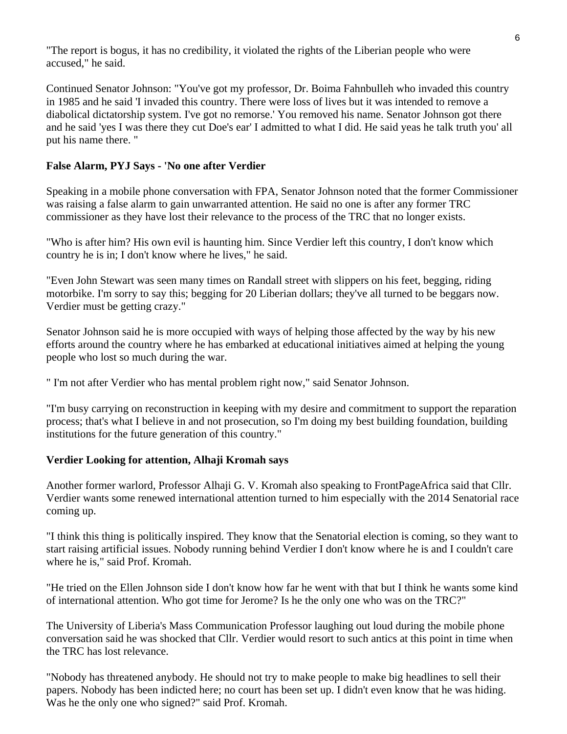"The report is bogus, it has no credibility, it violated the rights of the Liberian people who were accused," he said.

Continued Senator Johnson: "You've got my professor, Dr. Boima Fahnbulleh who invaded this country in 1985 and he said 'I invaded this country. There were loss of lives but it was intended to remove a diabolical dictatorship system. I've got no remorse.' You removed his name. Senator Johnson got there and he said 'yes I was there they cut Doe's ear' I admitted to what I did. He said yeas he talk truth you' all put his name there. "

## **False Alarm, PYJ Says - 'No one after Verdier**

Speaking in a mobile phone conversation with FPA, Senator Johnson noted that the former Commissioner was raising a false alarm to gain unwarranted attention. He said no one is after any former TRC commissioner as they have lost their relevance to the process of the TRC that no longer exists.

"Who is after him? His own evil is haunting him. Since Verdier left this country, I don't know which country he is in; I don't know where he lives," he said.

"Even John Stewart was seen many times on Randall street with slippers on his feet, begging, riding motorbike. I'm sorry to say this; begging for 20 Liberian dollars; they've all turned to be beggars now. Verdier must be getting crazy."

Senator Johnson said he is more occupied with ways of helping those affected by the way by his new efforts around the country where he has embarked at educational initiatives aimed at helping the young people who lost so much during the war.

" I'm not after Verdier who has mental problem right now," said Senator Johnson.

"I'm busy carrying on reconstruction in keeping with my desire and commitment to support the reparation process; that's what I believe in and not prosecution, so I'm doing my best building foundation, building institutions for the future generation of this country."

#### **Verdier Looking for attention, Alhaji Kromah says**

Another former warlord, Professor Alhaji G. V. Kromah also speaking to FrontPageAfrica said that Cllr. Verdier wants some renewed international attention turned to him especially with the 2014 Senatorial race coming up.

"I think this thing is politically inspired. They know that the Senatorial election is coming, so they want to start raising artificial issues. Nobody running behind Verdier I don't know where he is and I couldn't care where he is," said Prof. Kromah.

"He tried on the Ellen Johnson side I don't know how far he went with that but I think he wants some kind of international attention. Who got time for Jerome? Is he the only one who was on the TRC?"

The University of Liberia's Mass Communication Professor laughing out loud during the mobile phone conversation said he was shocked that Cllr. Verdier would resort to such antics at this point in time when the TRC has lost relevance.

"Nobody has threatened anybody. He should not try to make people to make big headlines to sell their papers. Nobody has been indicted here; no court has been set up. I didn't even know that he was hiding. Was he the only one who signed?" said Prof. Kromah.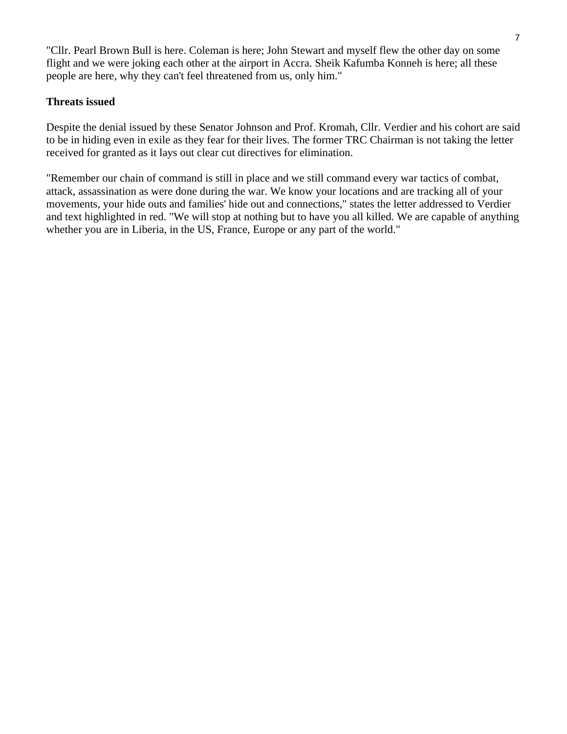"Cllr. Pearl Brown Bull is here. Coleman is here; John Stewart and myself flew the other day on some flight and we were joking each other at the airport in Accra. Sheik Kafumba Konneh is here; all these people are here, why they can't feel threatened from us, only him."

## **Threats issued**

Despite the denial issued by these Senator Johnson and Prof. Kromah, Cllr. Verdier and his cohort are said to be in hiding even in exile as they fear for their lives. The former TRC Chairman is not taking the letter received for granted as it lays out clear cut directives for elimination.

"Remember our chain of command is still in place and we still command every war tactics of combat, attack, assassination as were done during the war. We know your locations and are tracking all of your movements, your hide outs and families' hide out and connections," states the letter addressed to Verdier and text highlighted in red. "We will stop at nothing but to have you all killed. We are capable of anything whether you are in Liberia, in the US, France, Europe or any part of the world."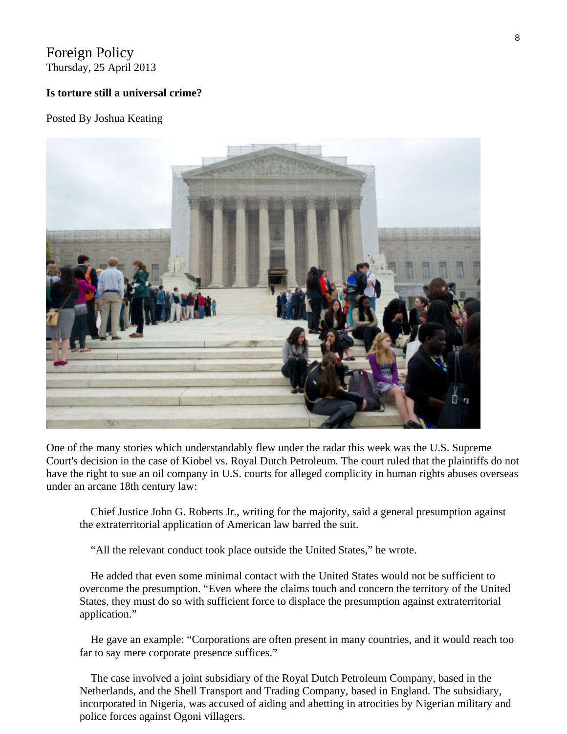## Foreign Policy Thursday, 25 April 2013

#### **Is torture still a universal crime?**

#### Posted By Joshua Keating



One of the many stories which understandably flew under the radar this week was the U.S. Supreme Court's decision in the case of Kiobel vs. Royal Dutch Petroleum. The court ruled that the plaintiffs do not have the right to sue an oil company in U.S. courts for alleged complicity in human rights abuses overseas under an arcane 18th century law:

 Chief Justice John G. Roberts Jr., writing for the majority, said a general presumption against the extraterritorial application of American law barred the suit.

"All the relevant conduct took place outside the United States," he wrote.

 He added that even some minimal contact with the United States would not be sufficient to overcome the presumption. "Even where the claims touch and concern the territory of the United States, they must do so with sufficient force to displace the presumption against extraterritorial application."

 He gave an example: "Corporations are often present in many countries, and it would reach too far to say mere corporate presence suffices."

 The case involved a joint subsidiary of the Royal Dutch Petroleum Company, based in the Netherlands, and the Shell Transport and Trading Company, based in England. The subsidiary, incorporated in Nigeria, was accused of aiding and abetting in atrocities by Nigerian military and police forces against Ogoni villagers.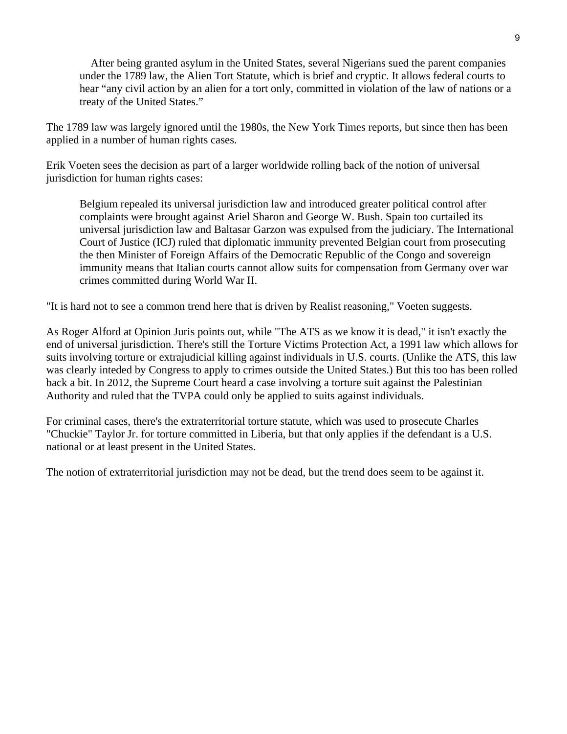After being granted asylum in the United States, several Nigerians sued the parent companies under the 1789 law, the Alien Tort Statute, which is brief and cryptic. It allows federal courts to hear "any civil action by an alien for a tort only, committed in violation of the law of nations or a treaty of the United States."

The 1789 law was largely ignored until the 1980s, the New York Times reports, but since then has been applied in a number of human rights cases.

Erik Voeten sees the decision as part of a larger worldwide rolling back of the notion of universal jurisdiction for human rights cases:

Belgium repealed its universal jurisdiction law and introduced greater political control after complaints were brought against Ariel Sharon and George W. Bush. Spain too curtailed its universal jurisdiction law and Baltasar Garzon was expulsed from the judiciary. The International Court of Justice (ICJ) ruled that diplomatic immunity prevented Belgian court from prosecuting the then Minister of Foreign Affairs of the Democratic Republic of the Congo and sovereign immunity means that Italian courts cannot allow suits for compensation from Germany over war crimes committed during World War II.

"It is hard not to see a common trend here that is driven by Realist reasoning," Voeten suggests.

As Roger Alford at Opinion Juris points out, while "The ATS as we know it is dead," it isn't exactly the end of universal jurisdiction. There's still the Torture Victims Protection Act, a 1991 law which allows for suits involving torture or extrajudicial killing against individuals in U.S. courts. (Unlike the ATS, this law was clearly inteded by Congress to apply to crimes outside the United States.) But this too has been rolled back a bit. In 2012, the Supreme Court heard a case involving a torture suit against the Palestinian Authority and ruled that the TVPA could only be applied to suits against individuals.

For criminal cases, there's the extraterritorial torture statute, which was used to prosecute Charles "Chuckie" Taylor Jr. for torture committed in Liberia, but that only applies if the defendant is a U.S. national or at least present in the United States.

The notion of extraterritorial jurisdiction may not be dead, but the trend does seem to be against it.